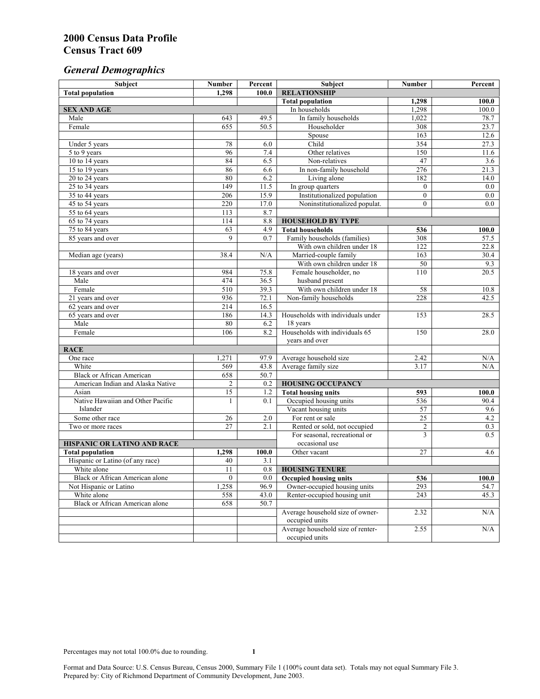# *General Demographics*

| Subject                                         | <b>Number</b>  | Percent      | Subject                                                      | Number          | Percent      |
|-------------------------------------------------|----------------|--------------|--------------------------------------------------------------|-----------------|--------------|
| <b>Total population</b>                         | 1,298          | 100.0        | <b>RELATIONSHIP</b>                                          |                 |              |
|                                                 |                |              | <b>Total population</b>                                      | 1,298           | 100.0        |
| <b>SEX AND AGE</b>                              |                |              | In households                                                | 1,298           | 100.0        |
| Male                                            | 643            | 49.5         | In family households                                         | 1,022           | 78.7         |
| Female                                          | 655            | 50.5         | Householder                                                  | 308             | 23.7         |
|                                                 |                |              | Spouse                                                       | 163             | 12.6         |
| Under 5 years                                   | 78<br>96       | 6.0          | Child                                                        | 354             | 27.3         |
| 5 to 9 years                                    | 84             | 7.4<br>6.5   | Other relatives<br>Non-relatives                             | 150<br>47       | 11.6         |
| 10 to 14 years<br>15 to 19 years                | 86             | 6.6          | In non-family household                                      | 276             | 3.6<br>21.3  |
| 20 to 24 years                                  | 80             | 6.2          | Living alone                                                 | 182             | 14.0         |
| $25$ to $34$ years                              | 149            | 11.5         |                                                              | $\overline{0}$  | 0.0          |
| 35 to 44 years                                  | 206            | 15.9         | In group quarters<br>Institutionalized population            | $\overline{0}$  | 0.0          |
| 45 to 54 years                                  | 220            | 17.0         | Noninstitutionalized populat.                                | $\overline{0}$  | 0.0          |
| 55 to 64 years                                  | 113            | 8.7          |                                                              |                 |              |
| 65 to 74 years                                  | 114            | 8.8          | <b>HOUSEHOLD BY TYPE</b>                                     |                 |              |
| 75 to 84 years                                  | 63             | 4.9          | <b>Total households</b>                                      | 536             | 100.0        |
| 85 years and over                               | 9              | 0.7          | Family households (families)                                 | 308             | 57.5         |
|                                                 |                |              | With own children under 18                                   | 122             | 22.8         |
| Median age (years)                              | 38.4           | N/A          | Married-couple family                                        | 163             | 30.4         |
|                                                 |                |              | With own children under 18                                   | 50              | 9.3          |
| 18 years and over                               | 984            | 75.8         | Female householder, no                                       | 110             | 20.5         |
| Male                                            | 474            | 36.5         | husband present                                              |                 |              |
| Female                                          | 510            | 39.3         | With own children under 18                                   | 58              | 10.8         |
| 21 years and over                               | 936            | 72.1         | Non-family households                                        | 228             | 42.5         |
| 62 years and over                               | 214            | 16.5         |                                                              |                 |              |
| 65 years and over                               | 186            | 14.3         | Households with individuals under                            | 153             | 28.5         |
| Male                                            | 80             | 6.2          | 18 years                                                     |                 |              |
| Female                                          | 106            | 8.2          | Households with individuals 65                               | 150             | 28.0         |
|                                                 |                |              | years and over                                               |                 |              |
| <b>RACE</b>                                     |                |              |                                                              |                 |              |
| One race                                        | 1,271          | 97.9         | Average household size                                       | 2.42            | N/A          |
| White                                           | 569            | 43.8         | Average family size                                          | 3.17            | N/A          |
| <b>Black or African American</b>                | 658            | 50.7         |                                                              |                 |              |
| American Indian and Alaska Native               | $\overline{c}$ | 0.2          | <b>HOUSING OCCUPANCY</b>                                     |                 |              |
| Asian                                           | 15             | 1.2          | <b>Total housing units</b>                                   | 593             | 100.0        |
| Native Hawaiian and Other Pacific               | 1              | 0.1          | Occupied housing units                                       | 536             | 90.4         |
| Islander                                        |                |              | Vacant housing units                                         | 57              | 9.6          |
| Some other race                                 | 26             | 2.0          | For rent or sale                                             | $\overline{25}$ | 4.2          |
| Two or more races                               | 27             | 2.1          | Rented or sold, not occupied                                 | $\overline{c}$  | 0.3          |
|                                                 |                |              | For seasonal, recreational or                                | $\overline{3}$  | 0.5          |
| HISPANIC OR LATINO AND RACE                     |                |              | occasional use                                               |                 |              |
| <b>Total population</b>                         | 1,298          | 100.0        | Other vacant                                                 | 27              | 4.6          |
| Hispanic or Latino (of any race)<br>White alone | 40<br>11       | 3.1          |                                                              |                 |              |
|                                                 |                | 0.8          | <b>HOUSING TENURE</b>                                        |                 |              |
| Black or African American alone                 | $\mathbf{0}$   | 0.0          | <b>Occupied housing units</b>                                | 536             | 100.0        |
| Not Hispanic or Latino<br>White alone           | 1,258<br>558   | 96.9<br>43.0 | Owner-occupied housing units<br>Renter-occupied housing unit | 293<br>243      | 54.7<br>45.3 |
| <b>Black or African American alone</b>          | 658            | 50.7         |                                                              |                 |              |
|                                                 |                |              | Average household size of owner-                             | 2.32            | N/A          |
|                                                 |                |              | occupied units                                               |                 |              |
|                                                 |                |              | Average household size of renter-                            | 2.55            | N/A          |
|                                                 |                |              | occupied units                                               |                 |              |
|                                                 |                |              |                                                              |                 |              |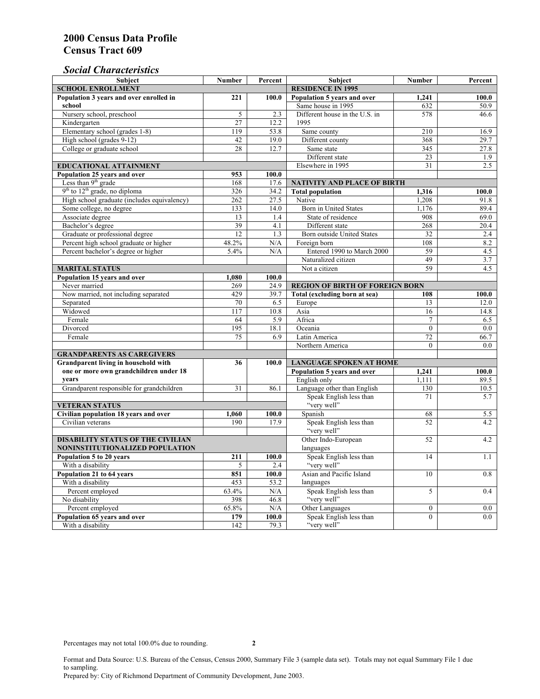### *Social Characteristics*

| <b>Subject</b>                              | <b>Number</b>            | Percent | <b>Subject</b>                         | <b>Number</b>    | Percent |
|---------------------------------------------|--------------------------|---------|----------------------------------------|------------------|---------|
| <b>SCHOOL ENROLLMENT</b>                    | <b>RESIDENCE IN 1995</b> |         |                                        |                  |         |
| Population 3 years and over enrolled in     | 221                      | 100.0   | Population 5 years and over            | 1,241            | 100.0   |
| school                                      |                          |         | Same house in 1995                     | 632              | 50.9    |
| Nursery school, preschool                   | 5                        | 2.3     | Different house in the U.S. in         | 578              | 46.6    |
| Kindergarten                                | 27                       | 12.2    | 1995                                   |                  |         |
| Elementary school (grades 1-8)              | 119                      | 53.8    | Same county                            | 210              | 16.9    |
| High school (grades 9-12)                   | 42                       | 19.0    | Different county                       | 368              | 29.7    |
| College or graduate school                  | 28                       | 12.7    | Same state                             | 345              | 27.8    |
|                                             |                          |         | Different state                        | 23               | 1.9     |
| <b>EDUCATIONAL ATTAINMENT</b>               |                          |         | Elsewhere in 1995                      | 31               | 2.5     |
| Population 25 years and over                | 953                      | 100.0   |                                        |                  |         |
| Less than 9 <sup>th</sup> grade             | 168                      | 17.6    | NATIVITY AND PLACE OF BIRTH            |                  |         |
| $9th$ to $12th$ grade, no diploma           | 326                      | 34.2    | <b>Total population</b>                | 1,316            | 100.0   |
| High school graduate (includes equivalency) | 262                      | 27.5    | Native                                 | 1.208            | 91.8    |
| Some college, no degree                     | 133                      | 14.0    | <b>Born</b> in United States           | 1,176            | 89.4    |
| Associate degree                            | 13                       | 1.4     | State of residence                     | 908              | 69.0    |
| Bachelor's degree                           | 39                       | 4.1     | Different state                        | 268              | 20.4    |
| Graduate or professional degree             | 12                       | 1.3     | Born outside United States             | 32               | 2.4     |
| Percent high school graduate or higher      | 48.2%                    | N/A     | Foreign born                           | 108              | 8.2     |
| Percent bachelor's degree or higher         | 5.4%                     | N/A     | Entered 1990 to March 2000             | 59               | 4.5     |
|                                             |                          |         | Naturalized citizen                    | 49               | 3.7     |
| <b>MARITAL STATUS</b>                       |                          |         | Not a citizen                          | 59               | 4.5     |
| Population 15 years and over                | 1,080                    | 100.0   |                                        |                  |         |
| Never married                               | 269                      | 24.9    | <b>REGION OF BIRTH OF FOREIGN BORN</b> |                  |         |
| Now married, not including separated        | 429                      | 39.7    | Total (excluding born at sea)          | 108              | 100.0   |
| Separated                                   | 70                       | 6.5     | Europe                                 | 13               | 12.0    |
| Widowed                                     | 117                      | 10.8    | Asia                                   | 16               | 14.8    |
| Female                                      | 64                       | 5.9     | Africa                                 | $\overline{7}$   | 6.5     |
| Divorced                                    | 195                      | 18.1    | Oceania                                | $\Omega$         | 0.0     |
| Female                                      | 75                       | 6.9     | Latin America                          | 72               | 66.7    |
|                                             |                          |         | Northern America                       | $\theta$         | 0.0     |
| <b>GRANDPARENTS AS CAREGIVERS</b>           |                          |         |                                        |                  |         |
| Grandparent living in household with        | 36                       | 100.0   | <b>LANGUAGE SPOKEN AT HOME</b>         |                  |         |
| one or more own grandchildren under 18      |                          |         | Population 5 years and over            | 1,241            | 100.0   |
| years                                       |                          |         | English only                           | 1,111            | 89.5    |
| Grandparent responsible for grandchildren   | 31                       | 86.1    | Language other than English            | 130              | 10.5    |
|                                             |                          |         | Speak English less than                | 71               | 5.7     |
| <b>VETERAN STATUS</b>                       | "very well"              |         |                                        |                  |         |
| Civilian population 18 years and over       | 1,060                    | 100.0   | Spanish                                | 68               | 5.5     |
| Civilian veterans                           | 190                      | 17.9    | Speak English less than                | 52               | 4.2     |
|                                             |                          |         | "very well"                            |                  |         |
| <b>DISABILITY STATUS OF THE CIVILIAN</b>    | Other Indo-European      | 52      | 4.2                                    |                  |         |
| NONINSTITUTIONALIZED POPULATION             | languages                |         |                                        |                  |         |
| Population 5 to 20 years                    | 211                      | 100.0   | Speak English less than                | 14               | 1.1     |
| With a disability                           | 5                        | 2.4     | "very well"                            |                  |         |
| Population 21 to 64 years                   | 851                      | 100.0   | Asian and Pacific Island               | 10               | 0.8     |
| With a disability                           | 453                      | 53.2    | languages                              |                  |         |
| Percent employed                            | 63.4%                    | N/A     | Speak English less than                | 5                | 0.4     |
| No disability                               | 398                      | 46.8    | "very well"                            |                  |         |
| Percent employed                            | 65.8%                    | N/A     | Other Languages                        | $\boldsymbol{0}$ | $0.0\,$ |
| Population 65 years and over                | 179                      | 100.0   | Speak English less than                | $\mathbf{0}$     | 0.0     |
| With a disability                           | 142                      | 79.3    | "very well"                            |                  |         |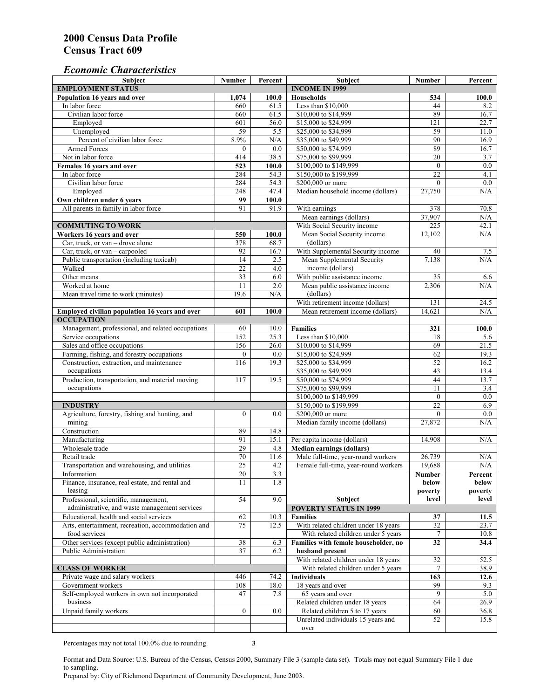#### *Economic Characteristics*

| <b>Subject</b>                                     | Number           | Percent | Subject                              | Number           | Percent    |
|----------------------------------------------------|------------------|---------|--------------------------------------|------------------|------------|
| <b>EMPLOYMENT STATUS</b>                           |                  |         | <b>INCOME IN 1999</b>                |                  |            |
| Population 16 years and over                       | 1,074            | 100.0   | <b>Households</b>                    | 534              | 100.0      |
| In labor force                                     | 660              | 61.5    | Less than \$10,000                   | 44               | 8.2        |
| Civilian labor force                               | 660              | 61.5    | \$10,000 to \$14,999                 | 89               | 16.7       |
| Employed                                           | 601              | 56.0    | \$15,000 to \$24,999                 | 121              | 22.7       |
| Unemployed                                         | 59               | 5.5     | \$25,000 to \$34,999                 | 59               | 11.0       |
| Percent of civilian labor force                    | 8.9%             | N/A     | \$35,000 to \$49,999                 | 90               | 16.9       |
| Armed Forces                                       | $\mathbf{0}$     | 0.0     | \$50,000 to \$74,999                 | 89               | 16.7       |
| Not in labor force                                 | 414              | 38.5    | \$75,000 to \$99,999                 | 20               | 3.7        |
| Females 16 years and over                          | 523              | 100.0   | \$100,000 to \$149,999               | $\boldsymbol{0}$ | $0.0\,$    |
| In labor force                                     | 284              | 54.3    | \$150,000 to \$199,999               | $\overline{22}$  | 4.1        |
| Civilian labor force                               | 284              | 54.3    | \$200,000 or more                    | $\mathbf{0}$     | $0.0\,$    |
| Employed                                           | 248              | 47.4    | Median household income (dollars)    | 27,750           | N/A        |
| Own children under 6 years                         | 99               | 100.0   |                                      |                  |            |
| All parents in family in labor force               | 91               | 91.9    | With earnings                        | 378              | 70.8       |
|                                                    |                  |         | Mean earnings (dollars)              | 37,907           | N/A        |
| <b>COMMUTING TO WORK</b>                           |                  |         | With Social Security income          | 225              | 42.1       |
| Workers 16 years and over                          | 550              | 100.0   | Mean Social Security income          | 12,102           | N/A        |
| Car, truck, or van – drove alone                   | 378              | 68.7    | (dollars)                            |                  |            |
| Car, truck, or van - carpooled                     | 92               | 16.7    | With Supplemental Security income    | 40               |            |
| Public transportation (including taxicab)          | 14               |         |                                      | 7,138            | 7.5<br>N/A |
|                                                    | $\overline{22}$  | 2.5     | Mean Supplemental Security           |                  |            |
| Walked                                             |                  | 4.0     | income (dollars)                     |                  |            |
| Other means                                        | $\overline{33}$  | 6.0     | With public assistance income        | 35               | 6.6        |
| Worked at home                                     | 11               | 2.0     | Mean public assistance income        | 2.306            | N/A        |
| Mean travel time to work (minutes)                 | 19.6             | N/A     | (dollars)                            |                  |            |
|                                                    |                  |         | With retirement income (dollars)     | 131              | 24.5       |
| Employed civilian population 16 years and over     | 601              | 100.0   | Mean retirement income (dollars)     | 14,621           | N/A        |
| <b>OCCUPATION</b>                                  |                  |         |                                      |                  |            |
| Management, professional, and related occupations  | 60               | 10.0    | <b>Families</b>                      | 321              | 100.0      |
| Service occupations                                | 152              | 25.3    | Less than \$10,000                   | 18               | 5.6        |
| Sales and office occupations                       | 156              | 26.0    | \$10,000 to \$14,999                 | 69               | 21.5       |
| Farming, fishing, and forestry occupations         | $\mathbf{0}$     | 0.0     | \$15,000 to \$24,999                 | 62               | 19.3       |
| Construction, extraction, and maintenance          | 116              | 19.3    | \$25,000 to \$34,999                 | 52               | 16.2       |
| occupations                                        |                  |         | \$35,000 to \$49,999                 | 43               | 13.4       |
| Production, transportation, and material moving    | 117              | 19.5    | \$50,000 to \$74,999                 | 44               | 13.7       |
| occupations                                        |                  |         | \$75,000 to \$99,999                 | 11               | 3.4        |
|                                                    |                  |         | \$100,000 to \$149,999               | $\mathbf{0}$     | 0.0        |
| <b>INDUSTRY</b>                                    |                  |         | \$150,000 to \$199,999               | 22               | 6.9        |
| Agriculture, forestry, fishing and hunting, and    | $\boldsymbol{0}$ | 0.0     | \$200,000 or more                    | $\theta$         | 0.0        |
| mining                                             |                  |         | Median family income (dollars)       | 27,872           | N/A        |
| Construction                                       | 89               | 14.8    |                                      |                  |            |
| Manufacturing                                      | 91               | 15.1    | Per capita income (dollars)          | 14,908           | N/A        |
| Wholesale trade                                    | 29               | 4.8     | <b>Median earnings (dollars)</b>     |                  |            |
| Retail trade                                       | 70               | 11.6    | Male full-time, year-round workers   | 26,739           | N/A        |
| Transportation and warehousing, and utilities      | $\overline{25}$  | 4.2     | Female full-time, year-round workers | 19,688           | N/A        |
| Information                                        | 20               | 3.3     |                                      | Number           | Percent    |
| Finance, insurance, real estate, and rental and    | 11               | 1.8     |                                      | below            | below      |
| leasing                                            |                  |         |                                      | poverty          | poverty    |
| Professional, scientific, management,              | 54               | 9.0     | Subject                              | level            | level      |
| administrative, and waste management services      |                  |         | <b>POVERTY STATUS IN 1999</b>        |                  |            |
| Educational, health and social services            | 62               | 10.3    | <b>Families</b>                      | 37               | 11.5       |
| Arts, entertainment, recreation, accommodation and | 75               | 12.5    | With related children under 18 years | 32               | 23.7       |
| food services                                      |                  |         | With related children under 5 years  | $\tau$           | 10.8       |
| Other services (except public administration)      | 38               | 6.3     | Families with female householder, no | 32               | 34.4       |
| Public Administration                              | $\overline{37}$  |         |                                      |                  |            |
|                                                    |                  | 6.2     | husband present                      |                  |            |
|                                                    |                  |         | With related children under 18 years | 32               | 52.5       |
| <b>CLASS OF WORKER</b>                             |                  |         | With related children under 5 years  | 7                | 38.9       |
| Private wage and salary workers                    | 446              | 74.2    | Individuals                          | 163              | 12.6       |
| Government workers                                 | 108              | 18.0    | 18 years and over                    | 99               | 9.3        |
| Self-employed workers in own not incorporated      | 47               | 7.8     | 65 years and over                    | 9                | 5.0        |
| business                                           |                  |         | Related children under 18 years      | 64               | 26.9       |
| Unpaid family workers                              | $\mathbf{0}$     | 0.0     | Related children 5 to 17 years       | 60               | 36.8       |
|                                                    |                  |         | Unrelated individuals 15 years and   | 52               | 15.8       |
|                                                    |                  |         | over                                 |                  |            |

Percentages may not total 100.0% due to rounding. **3** 

Format and Data Source: U.S. Bureau of the Census, Census 2000, Summary File 3 (sample data set). Totals may not equal Summary File 1 due to sampling.

Prepared by: City of Richmond Department of Community Development, June 2003.